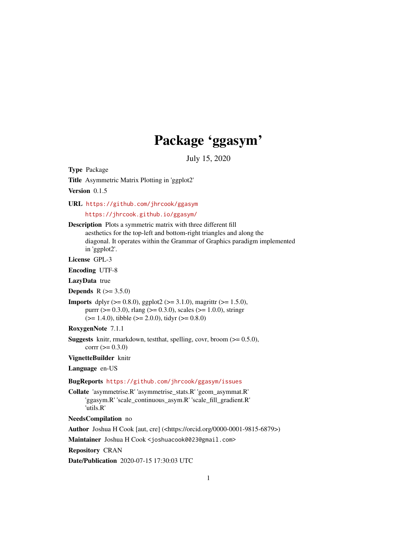## Package 'ggasym'

July 15, 2020

Title Asymmetric Matrix Plotting in 'ggplot2' Version 0.1.5 URL <https://github.com/jhrcook/ggasym> <https://jhrcook.github.io/ggasym/> Description Plots a symmetric matrix with three different fill aesthetics for the top-left and bottom-right triangles and along the diagonal. It operates within the Grammar of Graphics paradigm implemented in 'ggplot2'. License GPL-3 Encoding UTF-8 LazyData true **Depends** R  $(>= 3.5.0)$ **Imports** dplyr ( $> = 0.8.0$ ), ggplot2 ( $> = 3.1.0$ ), magrittr ( $> = 1.5.0$ ), purrr ( $> = 0.3.0$ ), rlang ( $> = 0.3.0$ ), scales ( $> = 1.0.0$ ), stringr  $(>= 1.4.0)$ , tibble  $(>= 2.0.0)$ , tidyr  $(>= 0.8.0)$ RoxygenNote 7.1.1 **Suggests** knitr, rmarkdown, test that, spelling, covr, broom  $(>= 0.5.0)$ ,  $corr (= 0.3.0)$ VignetteBuilder knitr Language en-US BugReports <https://github.com/jhrcook/ggasym/issues> Collate 'asymmetrise.R' 'asymmetrise\_stats.R' 'geom\_asymmat.R' 'ggasym.R' 'scale\_continuous\_asym.R' 'scale\_fill\_gradient.R' 'utils.R' NeedsCompilation no Author Joshua H Cook [aut, cre] (<https://orcid.org/0000-0001-9815-6879>) Maintainer Joshua H Cook <joshuacook0023@gmail.com> Repository CRAN

Type Package

Date/Publication 2020-07-15 17:30:03 UTC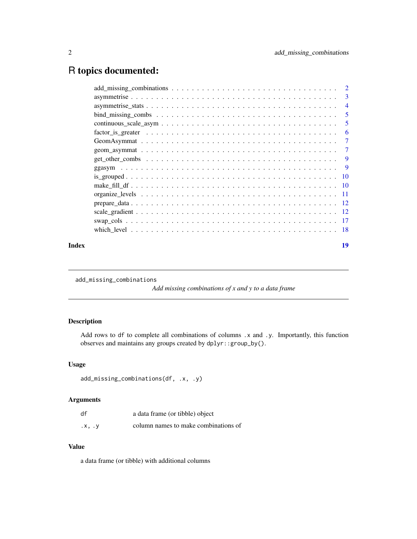### <span id="page-1-0"></span>R topics documented:

| Index |                                                                                                                              | 19             |
|-------|------------------------------------------------------------------------------------------------------------------------------|----------------|
|       |                                                                                                                              |                |
|       |                                                                                                                              |                |
|       |                                                                                                                              |                |
|       |                                                                                                                              |                |
|       |                                                                                                                              |                |
|       |                                                                                                                              |                |
|       |                                                                                                                              |                |
|       |                                                                                                                              |                |
|       |                                                                                                                              |                |
|       |                                                                                                                              |                |
|       |                                                                                                                              |                |
|       | $factor_is\_greater \ldots \ldots \ldots \ldots \ldots \ldots \ldots \ldots \ldots \ldots \ldots \ldots \ldots$              | -6             |
|       |                                                                                                                              |                |
|       |                                                                                                                              | $\overline{5}$ |
|       |                                                                                                                              | $\overline{4}$ |
|       |                                                                                                                              |                |
|       | $add\_missing\_combinations \dots \dots \dots \dots \dots \dots \dots \dots \dots \dots \dots \dots \dots \dots \dots \dots$ |                |

add\_missing\_combinations

*Add missing combinations of x and y to a data frame*

#### Description

Add rows to df to complete all combinations of columns .x and .y. Importantly, this function observes and maintains any groups created by dplyr::group\_by().

#### Usage

```
add_missing_combinations(df, .x, .y)
```
#### Arguments

| df     | a data frame (or tibble) object      |
|--------|--------------------------------------|
| .x, .y | column names to make combinations of |

#### Value

a data frame (or tibble) with additional columns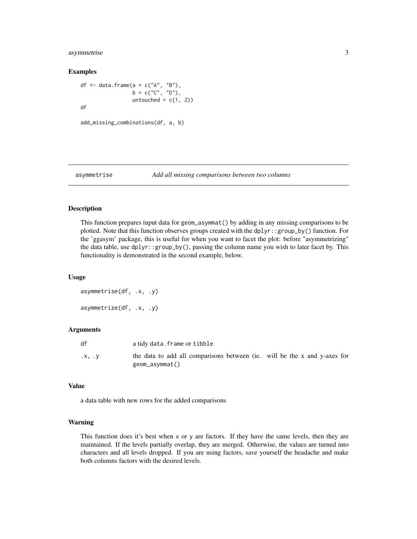#### <span id="page-2-0"></span>asymmetrise 3

#### Examples

```
df <- data.frame(a = c("A", "B"),
                  b = c("C", "D"),
                 untouched = c(1, 2))
df
```

```
add_missing_combinations(df, a, b)
```
#### asymmetrise *Add all missing comparisons between two columns*

#### Description

This function prepares input data for geom\_asymmat() by adding in any missing comparisons to be plotted. Note that this function observes groups created with the dplyr::group\_by() function. For the 'ggasym' package, this is useful for when you want to facet the plot: before "asymmetrizing" the data table, use dplyr::group\_by(), passing the column name you wish to later facet by. This functionality is demonstrated in the second example, below.

#### Usage

```
asymmetrise(df, .x, .y)
asymmetrize(df, .x, .y)
```
#### Arguments

| df     | a tidy data. frame or tibble                                                                |  |
|--------|---------------------------------------------------------------------------------------------|--|
| .x. .v | the data to add all comparisons between (ie. will be the x and y-axes for<br>geom_asymmat() |  |

#### Value

a data table with new rows for the added comparisons

#### Warning

This function does it's best when x or y are factors. If they have the same levels, then they are maintained. If the levels partially overlap, they are merged. Otherwise, the values are turned into characters and all levels dropped. If you are using factors, save yourself the headache and make both columns factors with the desired levels.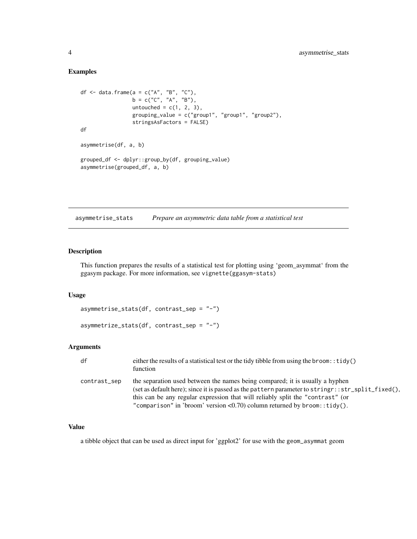#### <span id="page-3-0"></span>Examples

```
df \leq data.frame(a = c("A", "B", "C"),
                 b = c("C", "A", "B"),
                 untouched = c(1, 2, 3),
                 grouping_value = c("group1", "group1", "group2"),
                 stringsAsFactors = FALSE)
df
asymmetrise(df, a, b)
grouped_df <- dplyr::group_by(df, grouping_value)
asymmetrise(grouped_df, a, b)
```
asymmetrise\_stats *Prepare an asymmetric data table from a statistical test*

#### Description

This function prepares the results of a statistical test for plotting using 'geom\_asymmat' from the ggasym package. For more information, see vignette(ggasym-stats)

#### Usage

```
asymmetrise_stats(df, contrast_sep = "-")
```

```
asymmetrize_stats(df, contrast_sep = "-")
```
#### Arguments

| df           | either the results of a statistical test or the tidy tibble from using the broom: $:tidy()$<br>function                                                                                                                                                                                                                                           |
|--------------|---------------------------------------------------------------------------------------------------------------------------------------------------------------------------------------------------------------------------------------------------------------------------------------------------------------------------------------------------|
| contrast_sep | the separation used between the names being compared; it is usually a hyphen<br>(set as default here); since it is passed as the pattern parameter to stringr::str_split_fixed(),<br>this can be any regular expression that will reliably split the "contrast" (or<br>"comparison" in 'broom' version < 0.70) column returned by broom: :tidy(). |

#### Value

a tibble object that can be used as direct input for 'ggplot2' for use with the geom\_asymmat geom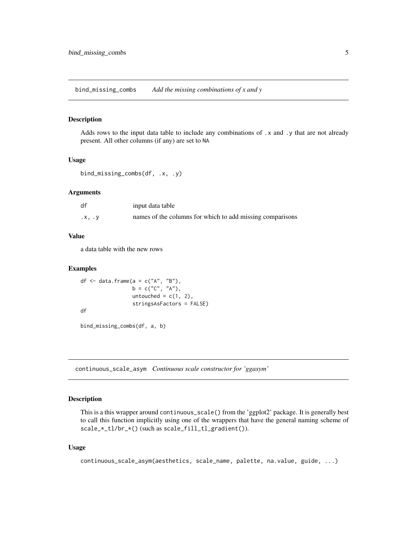<span id="page-4-0"></span>bind\_missing\_combs *Add the missing combinations of x and y*

#### Description

Adds rows to the input data table to include any combinations of .x and .y that are not already present. All other columns (if any) are set to NA

#### Usage

```
bind_missing_combs(df, .x, .y)
```
#### Arguments

| df     | input data table                                          |
|--------|-----------------------------------------------------------|
| .x, .y | names of the columns for which to add missing comparisons |

#### Value

a data table with the new rows

#### Examples

```
df \leq data.frame(a = c("A", "B"),
                 b = c("C", "A"),
                 untouched = c(1, 2),
                 stringsAsFactors = FALSE)
df
```
bind\_missing\_combs(df, a, b)

continuous\_scale\_asym *Continuous scale constructor for 'ggasym'*

#### Description

This is a this wrapper around continuous\_scale() from the 'ggplot2' package. It is generally best to call this function implicitly using one of the wrappers that have the general naming scheme of scale\_\*\_tl/br\_\*() (such as scale\_fill\_tl\_gradient()).

#### Usage

```
continuous_scale_asym(aesthetics, scale_name, palette, na.value, guide, ...)
```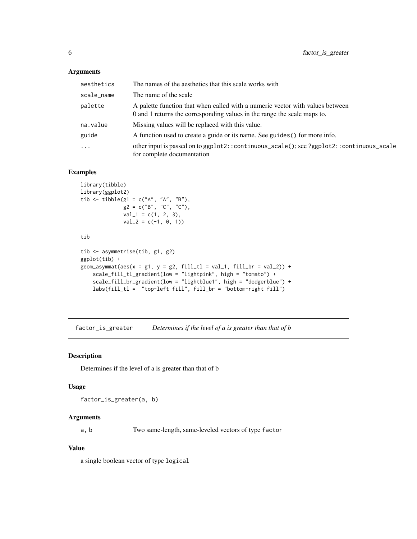#### <span id="page-5-0"></span>Arguments

| aesthetics | The names of the aesthetics that this scale works with                                                                                                    |
|------------|-----------------------------------------------------------------------------------------------------------------------------------------------------------|
| scale_name | The name of the scale                                                                                                                                     |
| palette    | A palette function that when called with a numeric vector with values between<br>0 and 1 returns the corresponding values in the range the scale maps to. |
| na.value   | Missing values will be replaced with this value.                                                                                                          |
| guide      | A function used to create a guide or its name. See guides () for more info.                                                                               |
| $\cdot$    | other input is passed on to ggplot2:: continuous_scale(); see ?ggplot2:: continuous_scale<br>for complete documentation                                   |

#### Examples

```
library(tibble)
library(ggplot2)
tib <- tibble(g1 = c("A", "A", "B"),
             g2 = c("B", "C", "C"),
             val_1 = c(1, 2, 3),val_2 = c(-1, 0, 1)tib
tib <- asymmetrise(tib, g1, g2)
ggplot(tib) +
geom_asymmat(aes(x = g1, y = g2, fill_t = val_1, fill_b = val_2)) +
   scale_fill_tl_gradient(low = "lightpink", high = "tomato") +
    scale_fill_br_gradient(low = "lightblue1", high = "dodgerblue") +
   labs(fill_tl = "top-left fill", fill_br = "bottom-right fill")
```
factor\_is\_greater *Determines if the level of a is greater than that of b*

#### Description

Determines if the level of a is greater than that of b

#### Usage

factor\_is\_greater(a, b)

#### Arguments

a, b Two same-length, same-leveled vectors of type factor

#### Value

a single boolean vector of type logical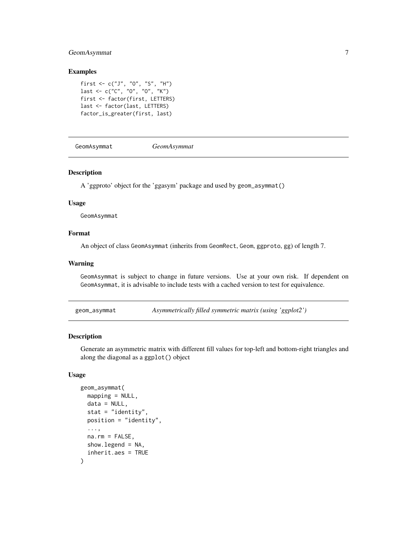#### <span id="page-6-0"></span>GeomAsymmat 7

#### Examples

```
first <- c("J", "O", "S", "H")
last \leq c("C", "0", "0", "K")first <- factor(first, LETTERS)
last <- factor(last, LETTERS)
factor_is_greater(first, last)
```
GeomAsymmat *GeomAsymmat*

#### Description

A 'ggproto' object for the 'ggasym' package and used by geom\_asymmat()

#### Usage

GeomAsymmat

#### Format

An object of class GeomAsymmat (inherits from GeomRect, Geom, ggproto, gg) of length 7.

#### Warning

GeomAsymmat is subject to change in future versions. Use at your own risk. If dependent on GeomAsymmat, it is advisable to include tests with a cached version to test for equivalence.

geom\_asymmat *Asymmetrically filled symmetric matrix (using 'ggplot2')*

#### Description

Generate an asymmetric matrix with different fill values for top-left and bottom-right triangles and along the diagonal as a ggplot() object

#### Usage

```
geom_asymmat(
 mapping = NULL,
 data = NULL,stat = "identity",
 position = "identity",
  ...,
 na.rm = FALSE,
  show.legend = NA,
  inherit.aes = TRUE
)
```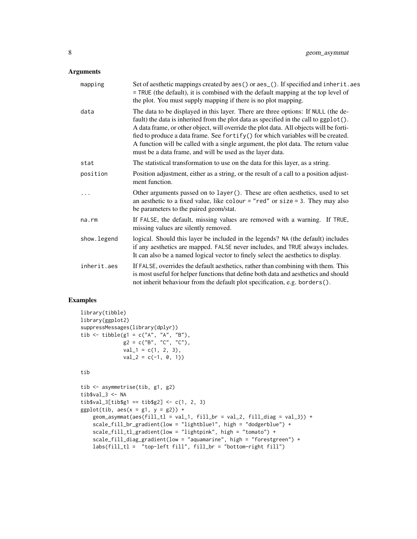#### Arguments

| mapping     | Set of aesthetic mappings created by aes() or aes_(). If specified and inherit.aes<br>= TRUE (the default), it is combined with the default mapping at the top level of<br>the plot. You must supply mapping if there is no plot mapping.                                                                                                                                                                                                                                                                  |
|-------------|------------------------------------------------------------------------------------------------------------------------------------------------------------------------------------------------------------------------------------------------------------------------------------------------------------------------------------------------------------------------------------------------------------------------------------------------------------------------------------------------------------|
| data        | The data to be displayed in this layer. There are three options: If NULL (the de-<br>fault) the data is inherited from the plot data as specified in the call to ggplot().<br>A data frame, or other object, will override the plot data. All objects will be forti-<br>fied to produce a data frame. See fortify() for which variables will be created.<br>A function will be called with a single argument, the plot data. The return value<br>must be a data frame, and will be used as the layer data. |
| stat        | The statistical transformation to use on the data for this layer, as a string.                                                                                                                                                                                                                                                                                                                                                                                                                             |
| position    | Position adjustment, either as a string, or the result of a call to a position adjust-<br>ment function.                                                                                                                                                                                                                                                                                                                                                                                                   |
| .           | Other arguments passed on to layer (). These are often aesthetics, used to set<br>an aesthetic to a fixed value, like colour = "red" or size = 3. They may also<br>be parameters to the paired geom/stat.                                                                                                                                                                                                                                                                                                  |
| na.rm       | If FALSE, the default, missing values are removed with a warning. If TRUE,<br>missing values are silently removed.                                                                                                                                                                                                                                                                                                                                                                                         |
| show.legend | logical. Should this layer be included in the legends? NA (the default) includes<br>if any aesthetics are mapped. FALSE never includes, and TRUE always includes.<br>It can also be a named logical vector to finely select the aesthetics to display.                                                                                                                                                                                                                                                     |
| inherit.aes | If FALSE, overrides the default aesthetics, rather than combining with them. This<br>is most useful for helper functions that define both data and aesthetics and should<br>not inherit behaviour from the default plot specification, e.g. borders().                                                                                                                                                                                                                                                     |

```
library(tibble)
library(ggplot2)
suppressMessages(library(dplyr))
tib <- tibble(g1 = c("A", "A", "B"),
              g2 = c("B", "C", "C"),
             val_1 = c(1, 2, 3),val_2 = c(-1, 0, 1)
```

```
tib
```

```
tib <- asymmetrise(tib, g1, g2)
tib$val_3 <- NA
tib\$val_3[tib\$g1 == tib\$g2] < -c(1, 2, 3)ggplot(tib, aes(x = g1, y = g2)) +
   geom_asymmat(aes(fill_tl = val_1, fill_br = val_2, fill_diag = val_3)) +
   scale_fill_br_gradient(low = "lightblue1", high = "dodgerblue") +
   scale_fill_tl_gradient(low = "lightpink", high = "tomato") +
   scale_fill_diag_gradient(low = "aquamarine", high = "forestgreen") +
   labs(fill_tl = "top-left fill", fill_br = "bottom-right fill")
```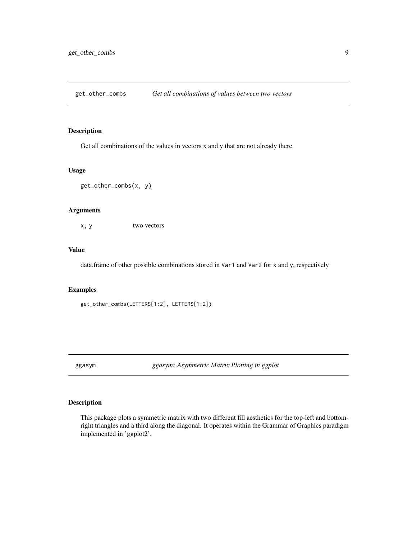<span id="page-8-0"></span>get\_other\_combs *Get all combinations of values between two vectors*

#### Description

Get all combinations of the values in vectors x and y that are not already there.

#### Usage

get\_other\_combs(x, y)

#### Arguments

x, y two vectors

#### Value

data.frame of other possible combinations stored in Var1 and Var2 for x and y, respectively

#### Examples

get\_other\_combs(LETTERS[1:2], LETTERS[1:2])

ggasym *ggasym: Asymmetric Matrix Plotting in ggplot*

#### Description

This package plots a symmetric matrix with two different fill aesthetics for the top-left and bottomright triangles and a third along the diagonal. It operates within the Grammar of Graphics paradigm implemented in 'ggplot2'.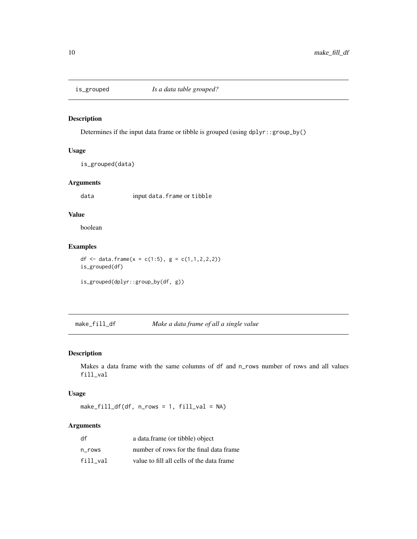<span id="page-9-0"></span>

#### Description

Determines if the input data frame or tibble is grouped (using dplyr::group\_by()

#### Usage

is\_grouped(data)

#### Arguments

data input data.frame or tibble

#### Value

boolean

### Examples

```
df <- data.frame(x = c(1:5), g = c(1,1,2,2,2))
is_grouped(df)
is_grouped(dplyr::group_by(df, g))
```
make\_fill\_df *Make a data frame of all a single value*

#### Description

Makes a data frame with the same columns of df and n\_rows number of rows and all values fill\_val

#### Usage

make\_fill\_df(df, n\_rows = 1, fill\_val = NA)

#### Arguments

| df       | a data.frame (or tibble) object           |
|----------|-------------------------------------------|
| n rows   | number of rows for the final data frame   |
| fill val | value to fill all cells of the data frame |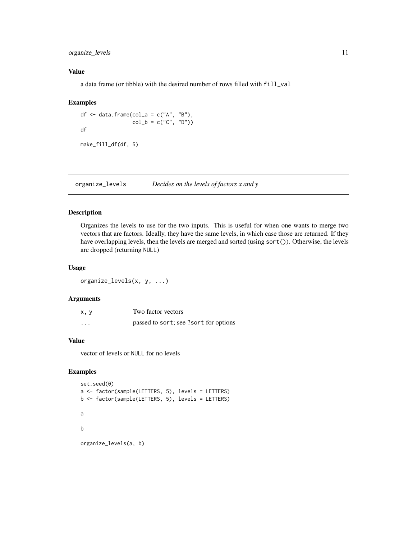<span id="page-10-0"></span>organize\_levels 11

#### Value

a data frame (or tibble) with the desired number of rows filled with fill\_val

#### Examples

df  $\le$  data.frame(col\_a = c("A", "B"),  $col_b = c("C", "D")$ df

make\_fill\_df(df, 5)

organize\_levels *Decides on the levels of factors x and y*

#### Description

Organizes the levels to use for the two inputs. This is useful for when one wants to merge two vectors that are factors. Ideally, they have the same levels, in which case those are returned. If they have overlapping levels, then the levels are merged and sorted (using sort()). Otherwise, the levels are dropped (returning NULL)

#### Usage

organize\_levels(x, y, ...)

#### Arguments

| x, y     | Two factor vectors                    |
|----------|---------------------------------------|
| $\cdots$ | passed to sort; see ?sort for options |

#### Value

vector of levels or NULL for no levels

```
set.seed(0)
a <- factor(sample(LETTERS, 5), levels = LETTERS)
b <- factor(sample(LETTERS, 5), levels = LETTERS)
a
b
organize_levels(a, b)
```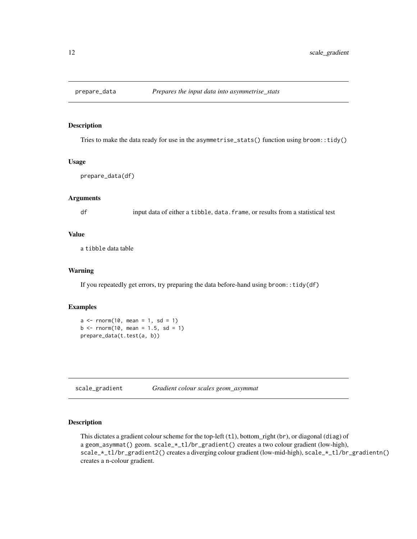<span id="page-11-0"></span>

#### Description

Tries to make the data ready for use in the asymmetrise\_stats() function using broom::tidy()

#### Usage

```
prepare_data(df)
```
#### Arguments

df input data of either a tibble, data.frame, or results from a statistical test

#### Value

a tibble data table

#### Warning

If you repeatedly get errors, try preparing the data before-hand using broom::tidy(df)

#### Examples

```
a \leq -rnorm(10, mean = 1, sd = 1)b \le rnorm(10, mean = 1.5, sd = 1)
prepare_data(t.test(a, b))
```
scale\_gradient *Gradient colour scales geom\_asymmat*

#### Description

This dictates a gradient colour scheme for the top-left  $(t)$ , bottom\_right (br), or diagonal (diag) of a geom\_asymmat() geom. scale\_\*\_tl/br\_gradient() creates a two colour gradient (low-high), scale\_\*\_tl/br\_gradient2() creates a diverging colour gradient (low-mid-high), scale\_\*\_tl/br\_gradientn() creates a n-colour gradient.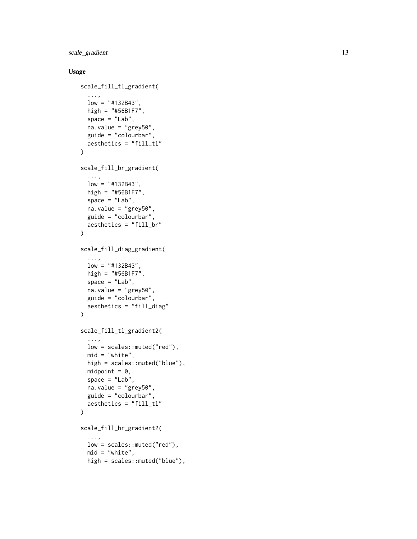scale\_gradient 13

#### Usage

```
scale_fill_tl_gradient(
  ...,
  low = "#132B43",
 high = "#56B1F7",
  space = "Lab",
  na.value = "grey50",
 guide = "colourbar",
 aesthetics = "fill_t1"\lambdascale_fill_br_gradient(
  ...,
  low = "#132B43",high = "#56B1F7",
  space = "Lab",na.value = "grey50",
  guide = "colourbar",
  aesthetics = "fill_br"
\mathcal{L}scale_fill_diag_gradient(
  ...,
  low = "#132B43",high = "#56B1F7",
  space = "Lab",na.value = "grey50",
  guide = "colourbar",
 aesthetics = "fill_diag"
\mathcal{L}scale_fill_tl_gradient2(
  ...,
  low = scales::muted("red"),
 mid = "white",high = scales::muted("blue"),
 midpoint = 0,
  space = "Lab",
  na.value = "grey50",
  guide = "colourbar",
  aesthetics = "fill_tl"
\lambdascale_fill_br_gradient2(
  ...,
  low = scales::muted("red"),
  mid = "white",high = scales::muted("blue"),
```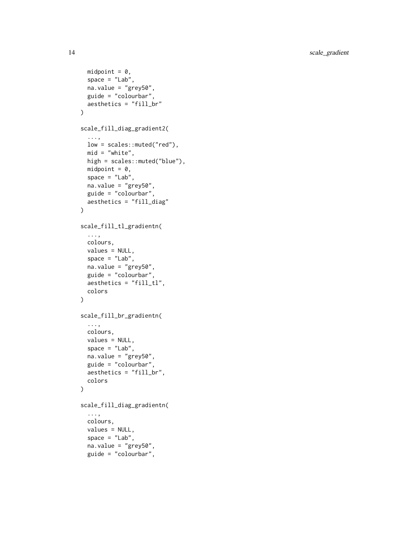14 scale\_gradient

```
midpoint = 0,
  space = "Lab",na.value = "grey50",
 guide = "colourbar",
 aesthetics = "fill_br"
\mathcal{L}scale_fill_diag_gradient2(
  ...,
  low = scales::muted("red"),
 mid = "white",high = scales::muted("blue"),
 midpoint = 0,
  space = "Lab",na.value = "grey50",
  guide = "colourbar",
  aesthetics = "fill_diag"
\mathcal{L}scale_fill_tl_gradientn(
  ...,
 colours,
 values = NULL,
  space = "Lab",na.value = "grey50",
  guide = "colourbar",
 aesthetics = "fill_tl",
 colors
\mathcal{L}scale_fill_br_gradientn(
  ...,
 colours,
 values = NULL,
  space = "Lab",na.value = "grey50",
  guide = "colourbar",
 aesthetics = "fill_br",
  colors
\mathcal{L}scale_fill_diag_gradientn(
  ...,
 colours,
  values = NULL,
  space = "Lab",na.value = "grey50",
  guide = "colourbar",
```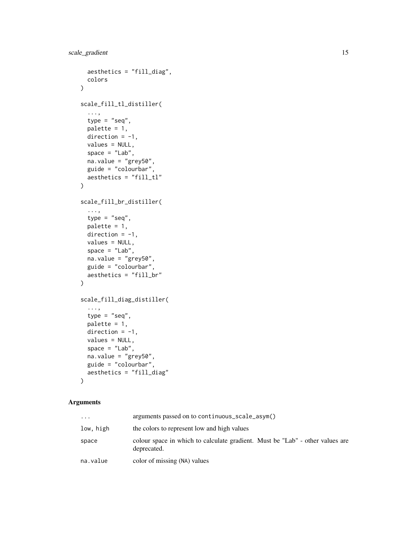```
aesthetics = "fill_diag",
 colors
\lambdascale_fill_tl_distiller(
  ...,
 type = "seq",palette = 1,direction = -1,values = NULL,
  space = "Lab",na.value = "grey50",
 guide = "colourbar",
 aesthetics = "fill_tl"
)
scale_fill_br_distiller(
  ...,
 type = "seq",palette = 1,
 direction = -1,
 values = NULL,
  space = "Lab",na.value = "grey50",
 guide = "colourbar",
 aesthetics = "fill_br"
\mathcal{L}scale_fill_diag_distiller(
  ...,
 type = "seq",
 palette = 1,
 direction = -1,
 values = NULL,
  space = "Lab",na.value = "grey50",
 guide = "colourbar",
 aesthetics = "fill_diag"
\mathcal{L}
```
#### Arguments

| .         | arguments passed on to continuous_scale_asym()                                               |
|-----------|----------------------------------------------------------------------------------------------|
| low, high | the colors to represent low and high values                                                  |
| space     | colour space in which to calculate gradient. Must be "Lab" - other values are<br>deprecated. |
| na.value  | color of missing (NA) values                                                                 |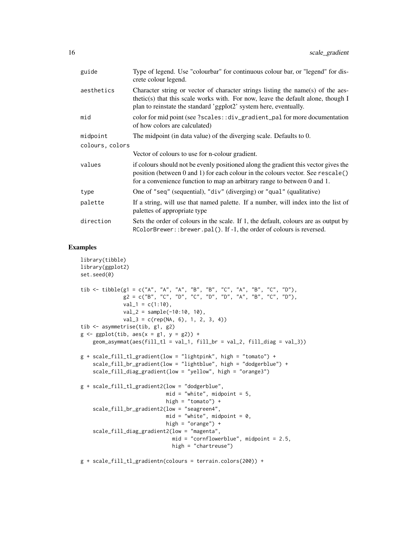| guide           | Type of legend. Use "colourbar" for continuous colour bar, or "legend" for dis-<br>crete colour legend.                                                                                                                                            |
|-----------------|----------------------------------------------------------------------------------------------------------------------------------------------------------------------------------------------------------------------------------------------------|
| aesthetics      | Character string or vector of character strings listing the name(s) of the aes-<br>thetic(s) that this scale works with. For now, leave the default alone, though I<br>plan to reinstate the standard 'ggplot2' system here, eventually.           |
| mid             | color for mid point (see ?scales::div_gradient_pal for more documentation<br>of how colors are calculated)                                                                                                                                         |
| midpoint        | The midpoint (in data value) of the diverging scale. Defaults to 0.                                                                                                                                                                                |
| colours, colors |                                                                                                                                                                                                                                                    |
|                 | Vector of colours to use for n-colour gradient.                                                                                                                                                                                                    |
| values          | if colours should not be evenly positioned along the gradient this vector gives the<br>position (between 0 and 1) for each colour in the colours vector. See rescale()<br>for a convenience function to map an arbitrary range to between 0 and 1. |
| type            | One of "seq" (sequential), "div" (diverging) or "qual" (qualitative)                                                                                                                                                                               |
| palette         | If a string, will use that named palette. If a number, will index into the list of<br>palettes of appropriate type                                                                                                                                 |
| direction       | Sets the order of colours in the scale. If 1, the default, colours are as output by<br>RColorBrewer:: brewer.pal(). If -1, the order of colours is reversed.                                                                                       |

```
library(tibble)
library(ggplot2)
set.seed(0)
tib <- tibble(g1 = c("A", "A", "A", "B", "B", "C", "A", "B", "C", "D"),
              g2 = c("B", "C", "D", "C", "D", "D", "A", "B", "C", "D"),val_1 = c(1:10),
              val_2 = sample(-10:10, 10),
              val_3 = c(rep(NA, 6), 1, 2, 3, 4))tib <- asymmetrise(tib, g1, g2)
g \leftarrow ggplot(tib, aes(x = g1, y = g2)) +geom_3symmat(aes(fill_t1 = val_1, fill_br = val_2, fill_diag = val_3))g + scale_fill_tl_gradient(low = "lightpink", high = "tomato") +
    scale_fill_br_gradient(low = "lightblue", high = "dodgerblue") +
    scale_fill_diag_gradient(low = "yellow", high = "orange3")
g + scale_fill_tl_gradient2(low = "dodgerblue",
                            mid = "white", midpoint = 5,
                            high = "tomato") +
    scale_fill_br_gradient2(low = "seagreen4",
                            mid = "white", midpoint = 0,high = "orange") +
    scale_fill_diag_gradient2(low = "magenta",
                              mid = "cornflowerblue", midpoint = 2.5,
                              high = "chartreuse")
g + scale_fill_tl_gradientn(colours = terrain.colors(200)) +
```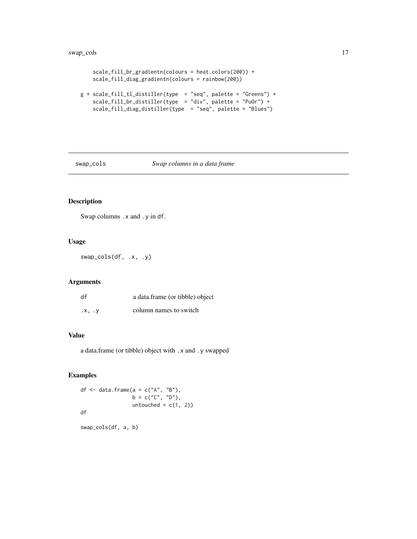```
scale_fill_br_gradientn(colours = heat.colors(200)) +
    scale_fill_diag_gradientn(colours = rainbow(200))
g + scale_fill_tl_distiller(type = "seq", palette = "Greens") +
   scale_fill_br_distiller(type = "div", palette = "PuOr") +
   scale_fill_diag_distiller(type = "seq", palette = "Blues")
```
swap\_cols *Swap columns in a data frame*

#### Description

Swap columns .x and .y in df.

#### Usage

swap\_cols(df, .x, .y)

#### Arguments

| df     | a data.frame (or tibble) object |
|--------|---------------------------------|
| .x. .v | column names to switch          |

#### Value

a data.frame (or tibble) object with .x and .y swapped

#### Examples

df  $\leq$  data.frame(a = c("A", "B"),  $b = c("C", "D")$ , untouched =  $c(1, 2)$ df

swap\_cols(df, a, b)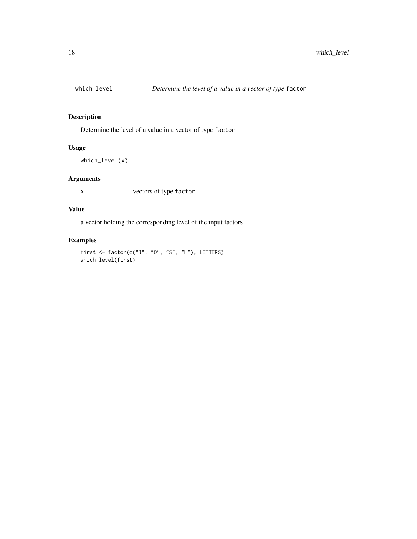<span id="page-17-0"></span>

#### Description

Determine the level of a value in a vector of type factor

#### Usage

```
which_level(x)
```
#### Arguments

x vectors of type factor

#### Value

a vector holding the corresponding level of the input factors

```
first \leq factor(c("J", "O", "S", "H"), LETTERS)
which_level(first)
```